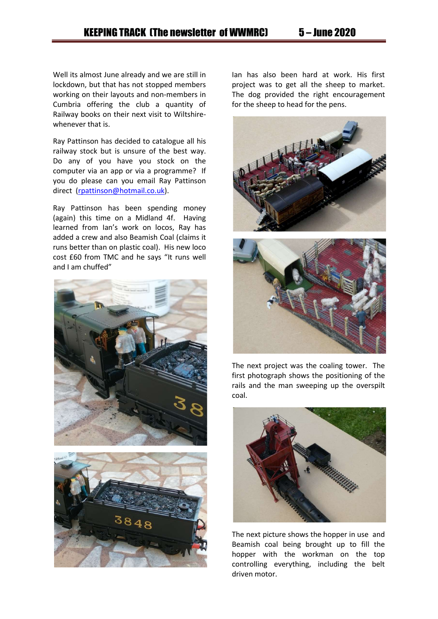Well its almost June already and we are still in lockdown, but that has not stopped members working on their layouts and non-members in Cumbria offering the club a quantity of Railway books on their next visit to Wiltshirewhenever that is.

Ray Pattinson has decided to catalogue all his railway stock but is unsure of the best way. Do any of you have you stock on the computer via an app or via a programme? If you do please can you email Ray Pattinson direct (rpattinson@hotmail.co.uk).

Ray Pattinson has been spending money (again) this time on a Midland 4f. Having learned from Ian's work on locos, Ray has added a crew and also Beamish Coal (claims it runs better than on plastic coal). His new loco cost £60 from TMC and he says "It runs well and I am chuffed"





Ian has also been hard at work. His first project was to get all the sheep to market. The dog provided the right encouragement for the sheep to head for the pens.





The next project was the coaling tower. The first photograph shows the positioning of the rails and the man sweeping up the overspilt coal.



The next picture shows the hopper in use and Beamish coal being brought up to fill the hopper with the workman on the top controlling everything, including the belt driven motor.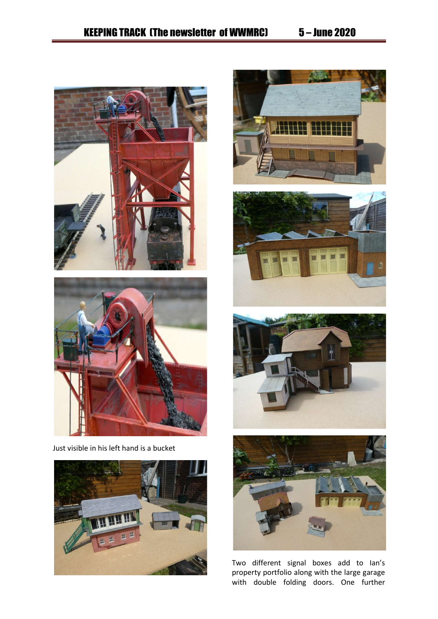













Two different signal boxes add to Ian's property portfolio along with the large garage with double folding doors. One further